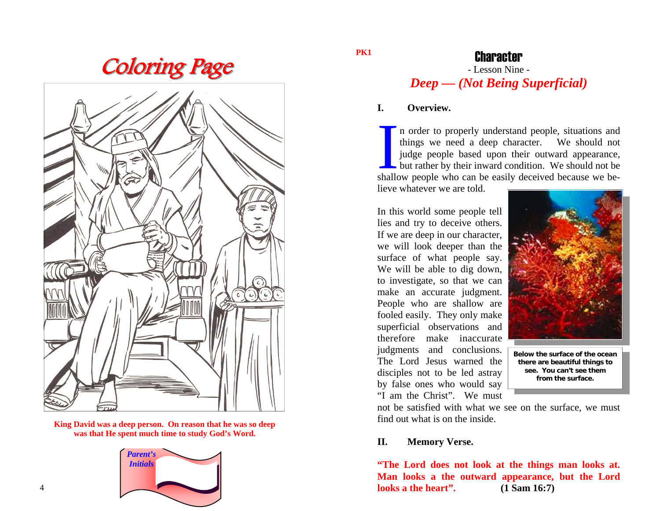**Coloring Page** 



**King David was a deep person. On reason that he was so deep was that He spent much time to study God's Word.** 



#### **PK1**

## **Character**

# - Lesson Nine - *Deep — (Not Being Superficial)*

#### **I. Overview.**

In order to properly understand people, situations and things we need a deep character. We should not judge people based upon their outward appearance, but rather by their inward condition. We should not be shallow people who can be easily deceived because we believe whatever we are told.

In this world some people tell lies and try to deceive others. If we are deep in our character, we will look deeper than the surface of what people say. We will be able to dig down, to investigate, so that we can make an accurate judgment. People who are shallow are fooled easily. They only make superficial observations and therefore make inaccurate judgments and conclusions. The Lord Jesus warned the disciples not to be led astray by false ones who would say "I am the Christ". We must



**Below the surface of the ocean there are beautiful things to see. You can't see them from the surface.** 

not be satisfied with what we see on the surface, we must find out what is on the inside.

### **II. Memory Verse.**

**"The Lord does not look at the things man looks at. Man looks a the outward appearance, but the Lord looks a the heart". (1 Sam 16:7)**